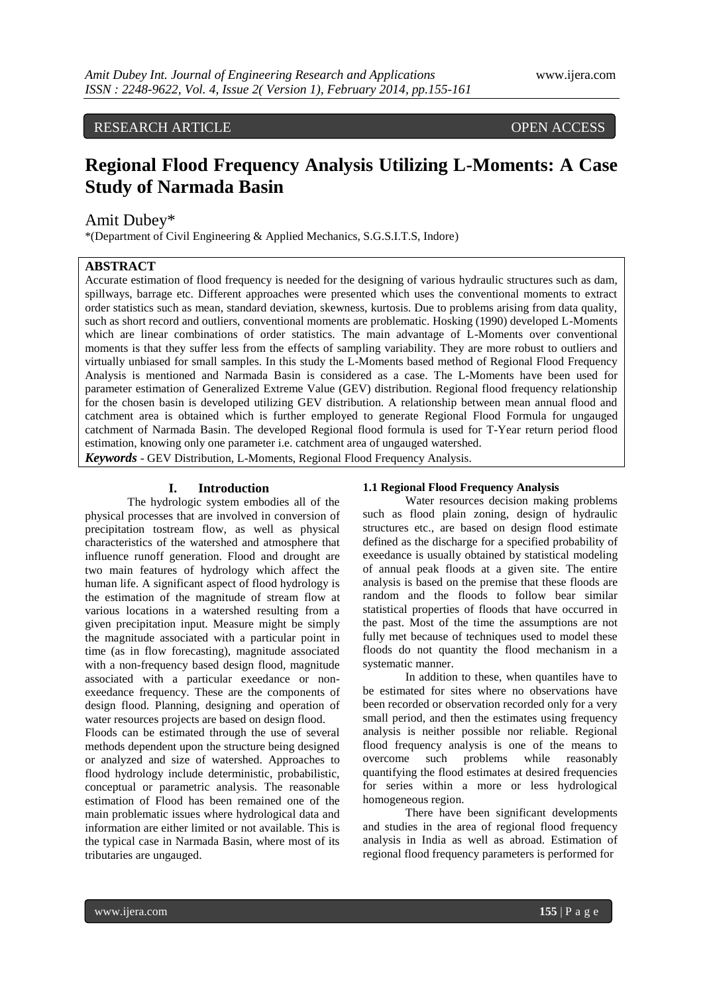# RESEARCH ARTICLE OPEN ACCESS

# **Regional Flood Frequency Analysis Utilizing L-Moments: A Case Study of Narmada Basin**

# Amit Dubey\*

\*(Department of Civil Engineering & Applied Mechanics, S.G.S.I.T.S, Indore)

# **ABSTRACT**

Accurate estimation of flood frequency is needed for the designing of various hydraulic structures such as dam, spillways, barrage etc. Different approaches were presented which uses the conventional moments to extract order statistics such as mean, standard deviation, skewness, kurtosis. Due to problems arising from data quality, such as short record and outliers, conventional moments are problematic. Hosking (1990) developed L-Moments which are linear combinations of order statistics. The main advantage of L-Moments over conventional moments is that they suffer less from the effects of sampling variability. They are more robust to outliers and virtually unbiased for small samples. In this study the L-Moments based method of Regional Flood Frequency Analysis is mentioned and Narmada Basin is considered as a case. The L-Moments have been used for parameter estimation of Generalized Extreme Value (GEV) distribution. Regional flood frequency relationship for the chosen basin is developed utilizing GEV distribution. A relationship between mean annual flood and catchment area is obtained which is further employed to generate Regional Flood Formula for ungauged catchment of Narmada Basin. The developed Regional flood formula is used for T-Year return period flood estimation, knowing only one parameter i.e. catchment area of ungauged watershed.

*Keywords* - GEV Distribution, L-Moments, Regional Flood Frequency Analysis.

#### **I. Introduction**

The hydrologic system embodies all of the physical processes that are involved in conversion of precipitation tostream flow, as well as physical characteristics of the watershed and atmosphere that influence runoff generation. Flood and drought are two main features of hydrology which affect the human life. A significant aspect of flood hydrology is the estimation of the magnitude of stream flow at various locations in a watershed resulting from a given precipitation input. Measure might be simply the magnitude associated with a particular point in time (as in flow forecasting), magnitude associated with a non-frequency based design flood, magnitude associated with a particular exeedance or nonexeedance frequency. These are the components of design flood. Planning, designing and operation of water resources projects are based on design flood.

Floods can be estimated through the use of several methods dependent upon the structure being designed or analyzed and size of watershed. Approaches to flood hydrology include deterministic, probabilistic, conceptual or parametric analysis. The reasonable estimation of Flood has been remained one of the main problematic issues where hydrological data and information are either limited or not available. This is the typical case in Narmada Basin, where most of its tributaries are ungauged.

# **1.1 Regional Flood Frequency Analysis**

Water resources decision making problems such as flood plain zoning, design of hydraulic structures etc., are based on design flood estimate defined as the discharge for a specified probability of exeedance is usually obtained by statistical modeling of annual peak floods at a given site. The entire analysis is based on the premise that these floods are random and the floods to follow bear similar statistical properties of floods that have occurred in the past. Most of the time the assumptions are not fully met because of techniques used to model these floods do not quantity the flood mechanism in a systematic manner.

In addition to these, when quantiles have to be estimated for sites where no observations have been recorded or observation recorded only for a very small period, and then the estimates using frequency analysis is neither possible nor reliable. Regional flood frequency analysis is one of the means to overcome such problems while reasonably quantifying the flood estimates at desired frequencies for series within a more or less hydrological homogeneous region.

There have been significant developments and studies in the area of regional flood frequency analysis in India as well as abroad. Estimation of regional flood frequency parameters is performed for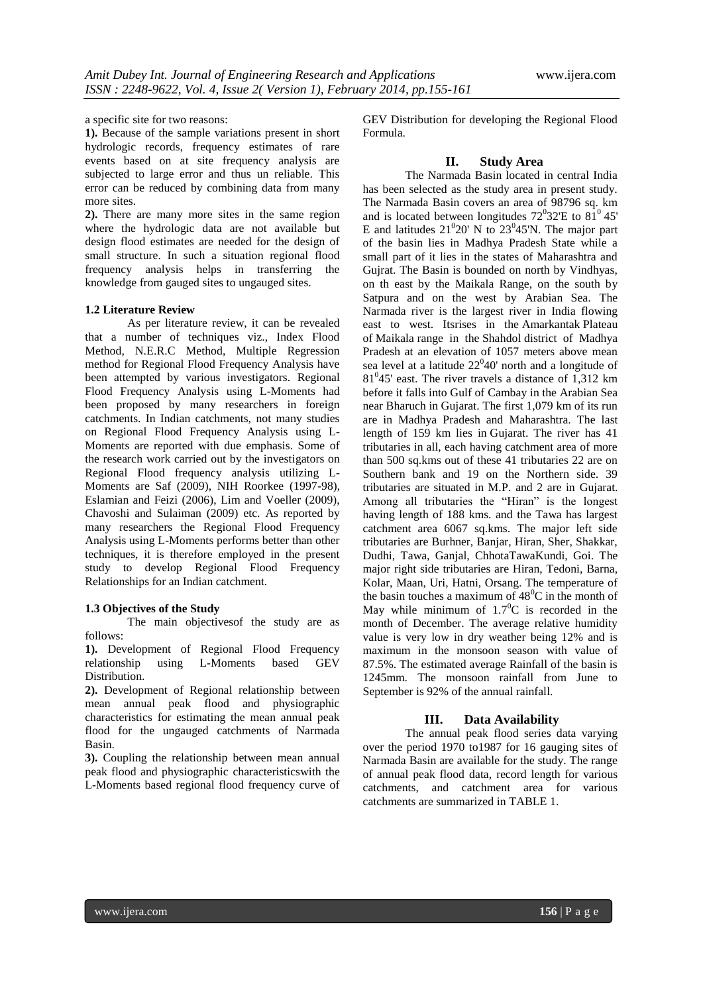a specific site for two reasons:

**1).** Because of the sample variations present in short hydrologic records, frequency estimates of rare events based on at site frequency analysis are subjected to large error and thus un reliable. This error can be reduced by combining data from many more sites.

**2).** There are many more sites in the same region where the hydrologic data are not available but design flood estimates are needed for the design of small structure. In such a situation regional flood frequency analysis helps in transferring the knowledge from gauged sites to ungauged sites.

#### **1.2 Literature Review**

As per literature review, it can be revealed that a number of techniques viz., Index Flood Method, N.E.R.C Method, Multiple Regression method for Regional Flood Frequency Analysis have been attempted by various investigators. Regional Flood Frequency Analysis using L-Moments had been proposed by many researchers in foreign catchments. In Indian catchments, not many studies on Regional Flood Frequency Analysis using L-Moments are reported with due emphasis. Some of the research work carried out by the investigators on Regional Flood frequency analysis utilizing L-Moments are Saf (2009), NIH Roorkee (1997-98), Eslamian and Feizi (2006), Lim and Voeller (2009), Chavoshi and Sulaiman (2009) etc. As reported by many researchers the Regional Flood Frequency Analysis using L-Moments performs better than other techniques, it is therefore employed in the present study to develop Regional Flood Frequency Relationships for an Indian catchment.

#### **1.3 Objectives of the Study**

The main objectivesof the study are as follows:

**1).** Development of Regional Flood Frequency relationship using L-Moments based GEV Distribution.

**2).** Development of Regional relationship between mean annual peak flood and physiographic characteristics for estimating the mean annual peak flood for the ungauged catchments of Narmada Basin.

**3).** Coupling the relationship between mean annual peak flood and physiographic characteristicswith the L-Moments based regional flood frequency curve of GEV Distribution for developing the Regional Flood Formula.

## **II. Study Area**

The Narmada Basin located in central India has been selected as the study area in present study. The Narmada Basin covers an area of 98796 sq. km and is located between longitudes  $72^032'E$  to  $81^045'$ E and latitudes  $21^{\circ}20'$  N to  $23^{\circ}45'$ N. The major part of the basin lies in Madhya Pradesh State while a small part of it lies in the states of Maharashtra and Gujrat. The Basin is bounded on north by Vindhyas, on th east by the Maikala Range, on the south by Satpura and on the west by Arabian Sea. The Narmada river is the largest river in India flowing east to west. Itsrises in the Amarkantak Plateau of Maikala range in the Shahdol district of Madhya Pradesh at an elevation of 1057 meters above mean sea level at a latitude  $22^040'$  north and a longitude of  $81<sup>0</sup>45'$  east. The river travels a distance of 1,312 km before it falls into Gulf of Cambay in the Arabian Sea near Bharuch in Gujarat. The first 1,079 km of its run are in Madhya Pradesh and Maharashtra. The last length of 159 km lies in Gujarat. The river has 41 tributaries in all, each having catchment area of more than 500 sq.kms out of these 41 tributaries 22 are on Southern bank and 19 on the Northern side. 39 tributaries are situated in M.P. and 2 are in Gujarat. Among all tributaries the "Hiran" is the longest having length of 188 kms. and the Tawa has largest catchment area 6067 sq.kms. The major left side tributaries are Burhner, Banjar, Hiran, Sher, Shakkar, Dudhi, Tawa, Ganjal, ChhotaTawaKundi, Goi. The major right side tributaries are Hiran, Tedoni, Barna, Kolar, Maan, Uri, Hatni, Orsang. The temperature of the basin touches a maximum of  $48^{\circ}$ C in the month of May while minimum of  $1.7^{\circ}$ C is recorded in the month of December. The average relative humidity value is very low in dry weather being 12% and is maximum in the monsoon season with value of 87.5%. The estimated average Rainfall of the basin is 1245mm. The monsoon rainfall from June to September is 92% of the annual rainfall.

# **III. Data Availability**

The annual peak flood series data varying over the period 1970 to1987 for 16 gauging sites of Narmada Basin are available for the study. The range of annual peak flood data, record length for various catchments, and catchment area for various catchments are summarized in TABLE 1.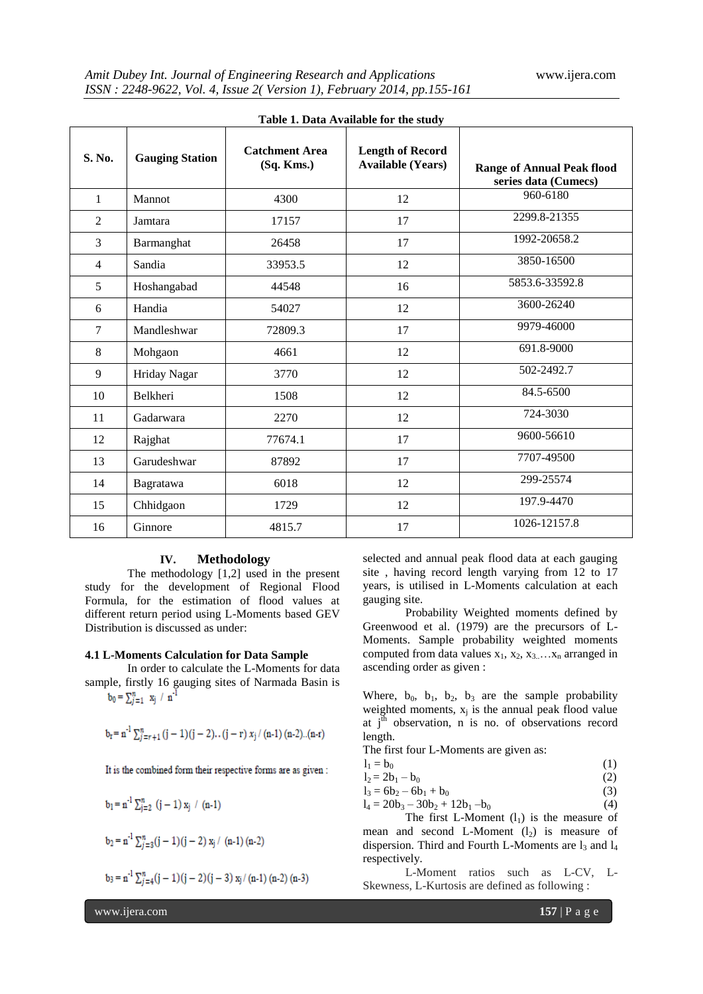| Table 1. Data Available for the study |                        |                                     |                                                     |                                                           |  |  |
|---------------------------------------|------------------------|-------------------------------------|-----------------------------------------------------|-----------------------------------------------------------|--|--|
| S. No.                                | <b>Gauging Station</b> | <b>Catchment Area</b><br>(Sq. Kms.) | <b>Length of Record</b><br><b>Available (Years)</b> | <b>Range of Annual Peak flood</b><br>series data (Cumecs) |  |  |
| 1                                     | Mannot                 | 4300                                | 12                                                  | 960-6180                                                  |  |  |
| $\overline{2}$                        | Jamtara                | 17157                               | 17                                                  | 2299.8-21355                                              |  |  |
| 3                                     | Barmanghat             | 26458                               | 17                                                  | 1992-20658.2                                              |  |  |
| 4                                     | Sandia                 | 33953.5                             | 12                                                  | 3850-16500                                                |  |  |
| 5                                     | Hoshangabad            | 44548                               | 16                                                  | 5853.6-33592.8                                            |  |  |
| 6                                     | Handia                 | 54027                               | 12                                                  | 3600-26240                                                |  |  |
| 7                                     | Mandleshwar            | 72809.3                             | 17                                                  | 9979-46000                                                |  |  |
| 8                                     | Mohgaon                | 4661                                | 12                                                  | 691.8-9000                                                |  |  |
| 9                                     | Hriday Nagar           | 3770                                | 12                                                  | 502-2492.7                                                |  |  |
| 10                                    | Belkheri               | 1508                                | 12                                                  | 84.5-6500                                                 |  |  |
| 11                                    | Gadarwara              | 2270                                | 12                                                  | 724-3030                                                  |  |  |
| 12                                    | Rajghat                | 77674.1                             | 17                                                  | 9600-56610                                                |  |  |
| 13                                    | Garudeshwar            | 87892                               | 17                                                  | 7707-49500                                                |  |  |
| 14                                    | Bagratawa              | 6018                                | 12                                                  | 299-25574                                                 |  |  |
| 15                                    | Chhidgaon              | 1729                                | 12                                                  | 197.9-4470                                                |  |  |
| 16                                    | Ginnore                | 4815.7                              | 17                                                  | 1026-12157.8                                              |  |  |

## **Table 1. Data Available for the study**

## **IV. Methodology**

The methodology [1,2] used in the present study for the development of Regional Flood Formula, for the estimation of flood values at different return period using L-Moments based GEV Distribution is discussed as under:

#### **4.1 L-Moments Calculation for Data Sample**

In order to calculate the L-Moments for data sample, firstly 16 gauging sites of Narmada Basin is  $b_0 = \sum_{j=1}^{n} x_j / n^{-1}$ 

$$
b_{r} = n^{-1} \sum_{j=r+1}^{n} (j-1)(j-2)...(j-r) x_{j} / (n-1) (n-2)...(n-r)
$$

It is the combined form their respective forms are as given :

$$
b_1 = n^{-1} \sum_{j=2}^{n} (j-1) x_j / (n-1)
$$
  

$$
b_2 = n^{-1} \sum_{j=3}^{n} (j-1)(j-2) x_j / (n-1) (n-2)
$$

 $b_3 = n^{-1} \sum_{i=4}^{n} (j-1)(j-2)(j-3)$  x<sub>j</sub> / (n-1) (n-2) (n-3)

selected and annual peak flood data at each gauging site , having record length varying from 12 to 17 years, is utilised in L-Moments calculation at each gauging site.

Probability Weighted moments defined by Greenwood et al. (1979) are the precursors of L-Moments. Sample probability weighted moments computed from data values  $x_1, x_2, x_3, \ldots, x_n$  arranged in ascending order as given :

Where,  $b_0$ ,  $b_1$ ,  $b_2$ ,  $b_3$  are the sample probability weighted moments,  $x_j$  is the annual peak flood value at  $j<sup>th</sup>$  observation, n is no. of observations record length.

The first four L-Moments are given as:

 $l_1 = b_0$  (1)

 $l_2 = 2b_1 - b_0$  (2)  $l_3 = 6b_2 - 6b_1 + b_0$  $(3)$ 

$$
13 = 30b2 - 30b1 + b0 \t\t(3)14 = 20b3 - 30b2 + 12b1 - b0 \t\t(4)
$$

The first L-Moment  $(l_1)$  is the measure of mean and second L-Moment  $(l_2)$  is measure of dispersion. Third and Fourth L-Moments are  $l_3$  and  $l_4$ respectively.

L-Moment ratios such as L-CV, L-Skewness, L-Kurtosis are defined as following :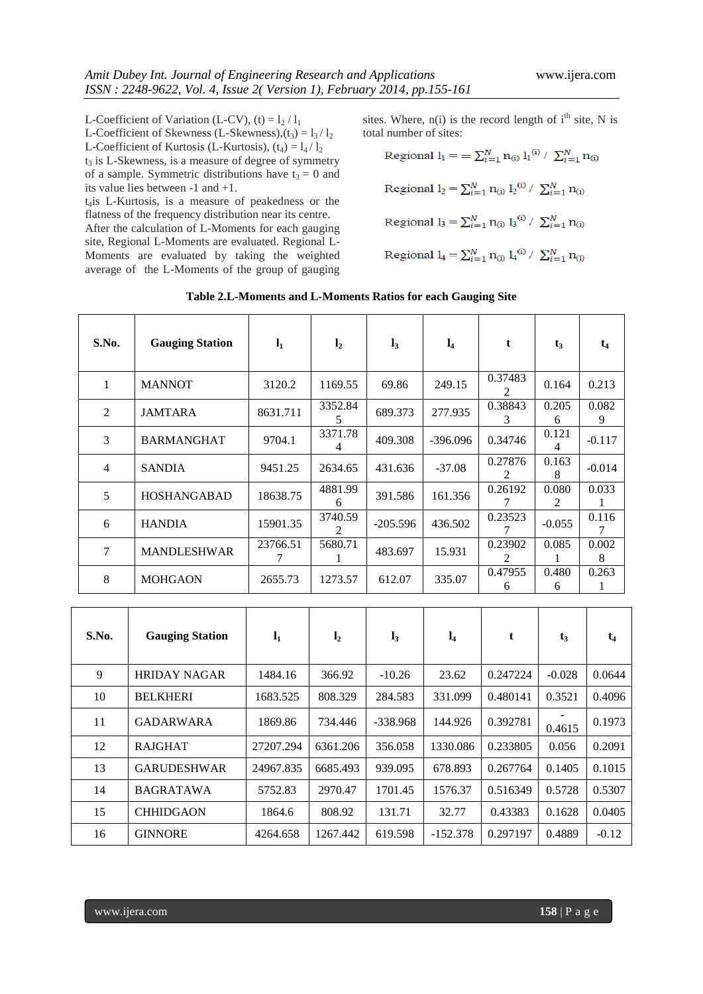L-Coefficient of Variation (L-CV), (t) =  $l_2$  /  $l_1$ L-Coefficient of Skewness (L-Skewness),  $(t_3) = l_3 / l_2$ 

L-Coefficient of Kurtosis (L-Kurtosis),  $(t_4) = l_4 / l_2$ 

 $t_3$  is L-Skewness, is a measure of degree of symmetry of a sample. Symmetric distributions have  $t_3 = 0$  and its value lies between -1 and +1.

 $t_4$ is L-Kurtosis, is a measure of peakedness or the flatness of the frequency distribution near its centre.

After the calculation of L-Moments for each gauging site, Regional L-Moments are evaluated. Regional L-Moments are evaluated by taking the weighted average of the L-Moments of the group of gauging

sites. Where,  $n(i)$  is the record length of  $i<sup>th</sup>$  site, N is total number of sites:

Regional 
$$
l_1 = \sum_{i=1}^{N} n_{(i)} \, l_1^{(i)} / \sum_{i=1}^{N} n_{(i)}
$$

\nRegional  $l_2 = \sum_{i=1}^{N} n_{(i)} \, l_2^{(i)} / \sum_{i=1}^{N} n_{(i)}$ 

\nRegional  $l_3 = \sum_{i=1}^{N} n_{(i)} \, l_3^{(i)} / \sum_{i=1}^{N} n_{(i)}$ 

\nRegional  $l_4 = \sum_{i=1}^{N} n_{(i)} \, l_4^{(i)} / \sum_{i=1}^{N} n_{(i)}$ 

| Table 2.L-Moments and L-Moments Ratios for each Gauging Site |  |  |
|--------------------------------------------------------------|--|--|
|--------------------------------------------------------------|--|--|

| S.No.          | <b>Gauging Station</b> | $\mathbf{l}_1$ | $\mathbf{l}_2$ | $l_3$      | $\mathbf{l}_4$ | t                                      | $t_3$                   | $t_4$      |
|----------------|------------------------|----------------|----------------|------------|----------------|----------------------------------------|-------------------------|------------|
| 1              | <b>MANNOT</b>          | 3120.2         | 1169.55        | 69.86      | 249.15         | 0.37483<br>$\mathcal{D}_{\mathcal{L}}$ | 0.164                   | 0.213      |
| $\overline{2}$ | <b>JAMTARA</b>         | 8631.711       | 3352.84<br>5   | 689.373    | 277.935        | 0.38843<br>3                           | 0.205<br>6              | 0.082<br>9 |
| 3              | <b>BARMANGHAT</b>      | 9704.1         | 3371.78<br>4   | 409.308    | $-396.096$     | 0.34746                                | 0.121<br>4              | $-0.117$   |
| $\overline{4}$ | <b>SANDIA</b>          | 9451.25        | 2634.65        | 431.636    | $-37.08$       | 0.27876<br>2                           | 0.163<br>8              | $-0.014$   |
| 5              | <b>HOSHANGABAD</b>     | 18638.75       | 4881.99<br>6   | 391.586    | 161.356        | 0.26192                                | 0.080<br>$\mathfrak{D}$ | 0.033<br>1 |
| 6              | <b>HANDIA</b>          | 15901.35       | 3740.59<br>2.  | $-205.596$ | 436.502        | 0.23523                                | $-0.055$                | 0.116      |
| 7              | <b>MANDLESHWAR</b>     | 23766.51       | 5680.71        | 483.697    | 15.931         | 0.23902<br>2                           | 0.085                   | 0.002<br>8 |
| 8              | <b>MOHGAON</b>         | 2655.73        | 1273.57        | 612.07     | 335.07         | 0.47955<br>6                           | 0.480<br>6              | 0.263<br>1 |

| S.No. | <b>Gauging Station</b> | $l_1$     | $\mathbf{l}_2$ | $l_3$      | $l_4$      | t        | $t_3$    | $t_4$   |
|-------|------------------------|-----------|----------------|------------|------------|----------|----------|---------|
| 9     | <b>HRIDAY NAGAR</b>    | 1484.16   | 366.92         | $-10.26$   | 23.62      | 0.247224 | $-0.028$ | 0.0644  |
| 10    | <b>BELKHERI</b>        | 1683.525  | 808.329        | 284.583    | 331.099    | 0.480141 | 0.3521   | 0.4096  |
| 11    | <b>GADARWARA</b>       | 1869.86   | 734.446        | $-338.968$ | 144.926    | 0.392781 | 0.4615   | 0.1973  |
| 12    | <b>RAJGHAT</b>         | 27207.294 | 6361.206       | 356.058    | 1330.086   | 0.233805 | 0.056    | 0.2091  |
| 13    | <b>GARUDESHWAR</b>     | 24967.835 | 6685.493       | 939.095    | 678.893    | 0.267764 | 0.1405   | 0.1015  |
| 14    | <b>BAGRATAWA</b>       | 5752.83   | 2970.47        | 1701.45    | 1576.37    | 0.516349 | 0.5728   | 0.5307  |
| 15    | <b>CHHIDGAON</b>       | 1864.6    | 808.92         | 131.71     | 32.77      | 0.43383  | 0.1628   | 0.0405  |
| 16    | <b>GINNORE</b>         | 4264.658  | 1267.442       | 619.598    | $-152.378$ | 0.297197 | 0.4889   | $-0.12$ |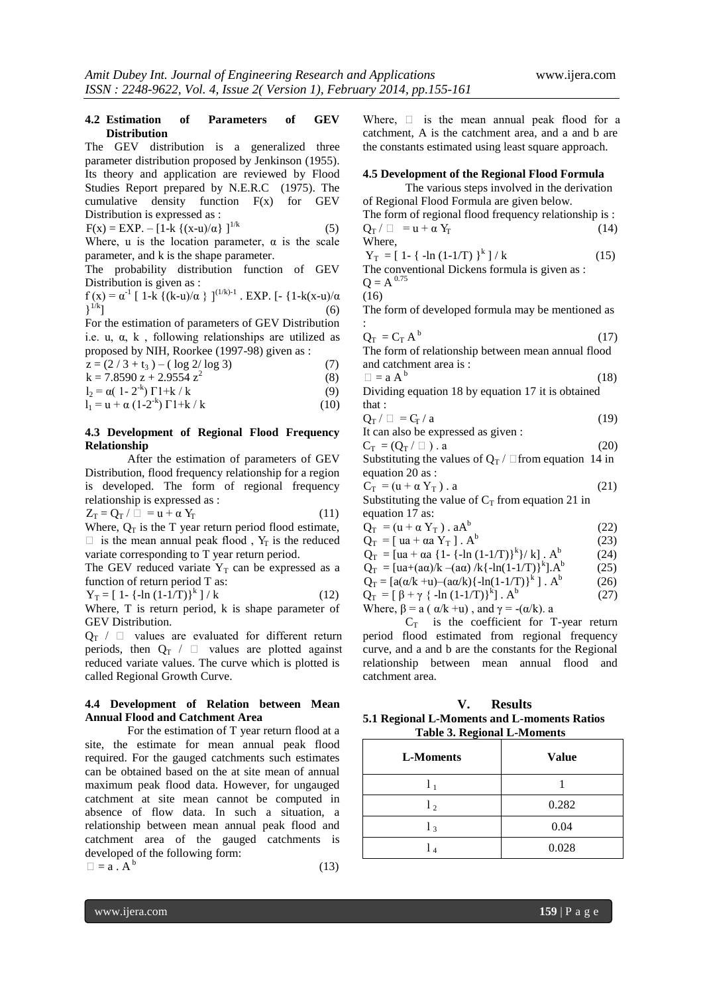#### **4.2 Estimation of Parameters of GEV Distribution**

The GEV distribution is a generalized three parameter distribution proposed by Jenkinson (1955). Its theory and application are reviewed by Flood Studies Report prepared by N.E.R.C (1975). The cumulative density function F(x) for GEV Distribution is expressed as :

$$
F(x) = EXP. - [1-k \{(x-u)/\alpha\}]^{1/k}
$$
 (5)

Where, u is the location parameter,  $\alpha$  is the scale parameter, and k is the shape parameter.

The probability distribution function of GEV Distribution is given as :

f (x) = α<sup>-1</sup> [ 1-k {(k-u)/α } ]<sup>(1/k)-1</sup> . EXP. [- {1-k(x-u)/α  $\lambda^{1/k}$  $1/k$ ] (6)

For the estimation of parameters of GEV Distribution i.e. u,  $\alpha$ , k, following relationships are utilized as proposed by NIH, Roorkee (1997-98) given as :

$$
z = (2/3 + t_3) - (\log 2/\log 3)
$$
 (7)  
1 - 7.9500 + 2.0554<sup>2</sup> (9)

$$
k = 7.8590 z + 2.9554 z2
$$
  
\n
$$
l_2 = \alpha (1 - 2k) \Gamma 1 + k / k
$$
 (8)

 $l_1 = u + \alpha (1-2^{-k}) \Gamma 1+k / k$  (10)

#### **4.3 Development of Regional Flood Frequency Relationship**

After the estimation of parameters of GEV Distribution, flood frequency relationship for a region is developed. The form of regional frequency relationship is expressed as :

$$
Z_{\text{T}} = Q_{\text{T}} / \square = u + \alpha Y_{\text{T}} \tag{11}
$$
  
When  $Q_{\text{t}}$  is the T year return period fixed estimate.

Where,  $Q_T$  is the T year return period flood estimate,  $\Box$  is the mean annual peak flood,  $Y_T$  is the reduced variate corresponding to T year return period.

The GEV reduced variate  $Y_T$  can be expressed as a function of return period T as:

 $Y_T = [1 - {ln (1 - 1/T)}^k] / k$  (12) Where, T is return period, k is shape parameter of GEV Distribution.

 $Q_T$  /  $\Box$  values are evaluated for different return periods, then  $Q_T / \Box$  values are plotted against reduced variate values. The curve which is plotted is called Regional Growth Curve.

#### **4.4 Development of Relation between Mean Annual Flood and Catchment Area**

For the estimation of T year return flood at a site, the estimate for mean annual peak flood required. For the gauged catchments such estimates can be obtained based on the at site mean of annual maximum peak flood data. However, for ungauged catchment at site mean cannot be computed in absence of flow data. In such a situation, a relationship between mean annual peak flood and catchment area of the gauged catchments is developed of the following form:  $\square$  = a . A<sup>b</sup>  $(13)$ 

Where,  $\Box$  is the mean annual peak flood for a catchment, A is the catchment area, and a and b are the constants estimated using least square approach.

#### **4.5 Development of the Regional Flood Formula**

The various steps involved in the derivation  
of Regional Flood Formula are given below.  
The form of regional flood frequency relationship is :  

$$
Q_T / \Box = u + \alpha Y_T
$$
 (14)  
Where,  
 $Y_T = [1 - \{-\ln(1-1/T)\}^k]/k$  (15)  
The conventional Dickens formula is given as :  
 $Q = A^{0.75}$ 

(16)

The form of developed formula may be mentioned as

$$
Q_T = C_T A^b
$$
 (17)

The form of relationship between mean annual flood and catchment area is :  $\Box$  = a  $\Lambda$ <sup>b</sup>

$$
\Box = a \, A^b
$$
 (18)  
Dividing equation 18 by equation 17 it is obtained  
that :

$$
Q_T / \Box = C_T / a
$$
 (19)  
It can also be expressed as given :

$$
C_{\text{T}} = (Q_{\text{T}} / \Box) \cdot a \tag{20}
$$

Substituting the values of  $Q_T / \Box$  from equation 14 in equation 20 as :

$$
C_T = (u + \alpha Y_T) . a \tag{21}
$$

Substituting the value of  $C_T$  from equation 21 in equation 17 as:

$$
\mathbf{Q}_{\mathrm{T}} = (\mathbf{u} + \alpha \mathbf{Y}_{\mathrm{T}}) \cdot \mathbf{a} \mathbf{A}^{\mathrm{b}} \tag{22}
$$

$$
\begin{aligned}\n\bar{Q}_T &= \left[ \, \text{ua} + \alpha a \, Y_T \, \right]. A^b \\
Q_T &= \left[ \text{ua} + \alpha a \, \left\{ 1 - \{ -\ln(1-1/T) \}^k \right\} / k \right]. A^b\n\end{aligned}\n\tag{23}
$$

$$
Q_T = [ua + \alpha a)(1 + (m(1777))^{T} + 1.4^{T} + 1.4^{T} + 1.4^{T} + 1.4^{T} + 1.4^{T} + 1.4^{T} + 1.4^{T} + 1.4^{T} + 1.4^{T} + 1.4^{T} + 1.4^{T} + 1.4^{T} + 1.4^{T} + 1.4^{T} + 1.4^{T} + 1.4^{T} + 1.4^{T} + 1.4^{T} + 1.4^{T} + 1.4^{T} + 1.4^{T} + 1.4^{T} + 1.4^{T} + 1.4^{T} + 1.4^{T} + 1.4^{T} + 1.4^{T} + 1.4^{T} + 1.4^{T} + 1.4^{T} + 1.4^{T} + 1.4^{T} + 1.4^{T} + 1.4^{T} + 1.4^{T} + 1.4^{T} + 1.4^{T} + 1.4^{T} + 1.4^{T} + 1.4^{T} + 1.4^{T} + 1.4^{T} + 1.4^{T} + 1.4^{T} + 1.4^{T} + 1.4^{T} + 1.4^{T} + 1.4^{T} + 1.4^{T} + 1.4^{T} + 1.4^{T} + 1.4^{T} + 1.4^{T} + 1.4^{T} + 1.4^{T} + 1.4^{T} + 1.4^{T} + 1.4^{T} + 1.4^{T} + 1.4^{T} + 1.4^{T} + 1.4^{T} + 1.4^{T} + 1.4^{T} + 1.4^{T} + 1.4^{T} + 1.4^{T} + 1.4^{T} + 1.4^{T} + 1.4^{T} + 1.4^{T} + 1.4^{T} + 1.4^{T} + 1.4^{T} + 1.4^{T} + 1.4^{T} + 1.4^{T} + 1.4^{T} + 1.4^{T} + 1.4^{T} + 1.4^{T} + 1.4^{T} + 1.4^{T} + 1.4^{T} + 1.4^{T} + 1.4^{T} + 1.4^{T} + 1.4^{T} + 1.4^{T} + 1.4^{T} + 1.4^{T} + 1.4^{T}
$$

 $Q_T = [\beta + \gamma \{-\ln(1-1/T)\}^k]$ . A<sup>b</sup>

Where,  $\beta = a$  (  $\alpha/k + u$ ), and  $\gamma = -(\alpha/k)$ . a

 $C_T$  is the coefficient for T-year return period flood estimated from regional frequency curve, and a and b are the constants for the Regional relationship between mean annual flood and catchment area.

**V. Results 5.1 Regional L-Moments and L-moments Ratios Table 3. Regional L-Moments**

| <b>L-Moments</b> | <b>Value</b> |
|------------------|--------------|
|                  |              |
| $1_{2}$          | 0.282        |
| $\frac{1}{3}$    | 0.04         |
| $\Delta$         | 0.028        |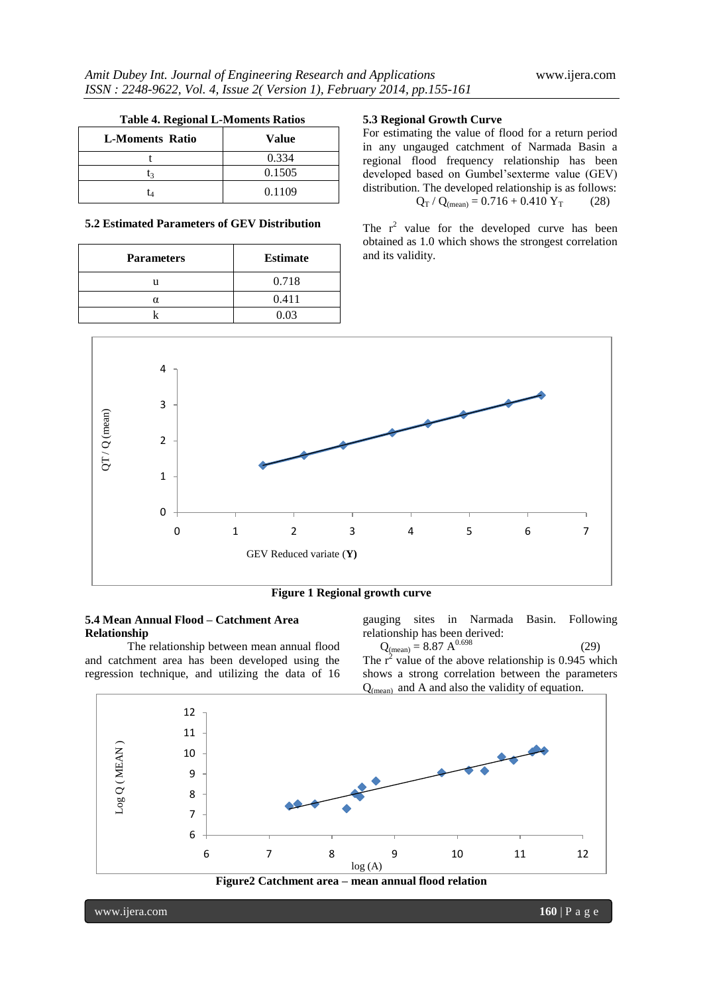# **Table 4. Regional L-Moments Ratios**

| <b>L-Moments Ratio</b> | Value  |
|------------------------|--------|
|                        | 0.334  |
| L2                     | 0.1505 |
|                        | 0.1109 |

#### **5.2 Estimated Parameters of GEV Distribution**

| <b>Parameters</b> | <b>Estimate</b> |
|-------------------|-----------------|
|                   | 0.718           |
|                   | 0.411           |
|                   | 0.03            |

## **5.3 Regional Growth Curve**

For estimating the value of flood for a return period in any ungauged catchment of Narmada Basin a regional flood frequency relationship has been developed based on Gumbel'sexterme value (GEV) distribution. The developed relationship is as follows:  $Q_T / Q_{(mean)} = 0.716 + 0.410 Y_T$  (28)

The  $r^2$  value for the developed curve has been obtained as 1.0 which shows the strongest correlation and its validity.



# **Figure 1 Regional growth curve**

#### **5.4 Mean Annual Flood – Catchment Area Relationship**

The relationship between mean annual flood and catchment area has been developed using the regression technique, and utilizing the data of 16

gauging sites in Narmada Basin. Following relationship has been derived:

 $Q_{(mean)} = 8.87 A^{0.698}$  (29) The  $r^2$  value of the above relationship is 0.945 which shows a strong correlation between the parameters Q(mean) and A and also the validity of equation.





www.ijera.com **160** | P a g e